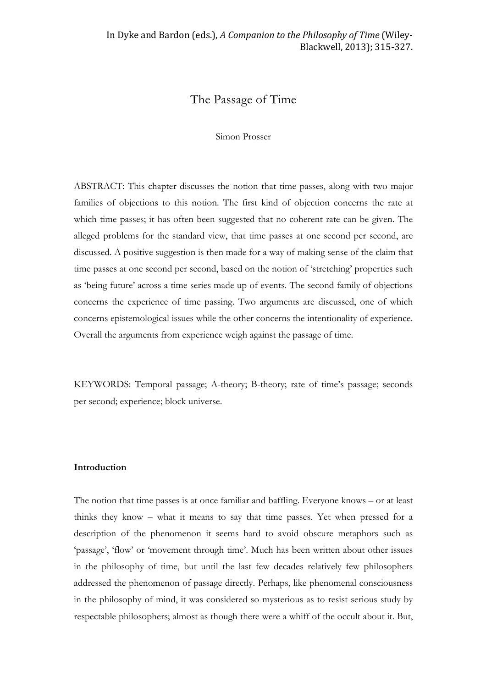# The Passage of Time

#### Simon Prosser

ABSTRACT: This chapter discusses the notion that time passes, along with two major families of objections to this notion. The first kind of objection concerns the rate at which time passes; it has often been suggested that no coherent rate can be given. The alleged problems for the standard view, that time passes at one second per second, are discussed. A positive suggestion is then made for a way of making sense of the claim that time passes at one second per second, based on the notion of 'stretching' properties such as 'being future' across a time series made up of events. The second family of objections concerns the experience of time passing. Two arguments are discussed, one of which concerns epistemological issues while the other concerns the intentionality of experience. Overall the arguments from experience weigh against the passage of time.

KEYWORDS: Temporal passage; A-theory; B-theory; rate of time's passage; seconds per second; experience; block universe.

## **Introduction**

The notion that time passes is at once familiar and baffling. Everyone knows – or at least thinks they know – what it means to say that time passes. Yet when pressed for a description of the phenomenon it seems hard to avoid obscure metaphors such as 'passage', 'flow' or 'movement through time'. Much has been written about other issues in the philosophy of time, but until the last few decades relatively few philosophers addressed the phenomenon of passage directly. Perhaps, like phenomenal consciousness in the philosophy of mind, it was considered so mysterious as to resist serious study by respectable philosophers; almost as though there were a whiff of the occult about it. But,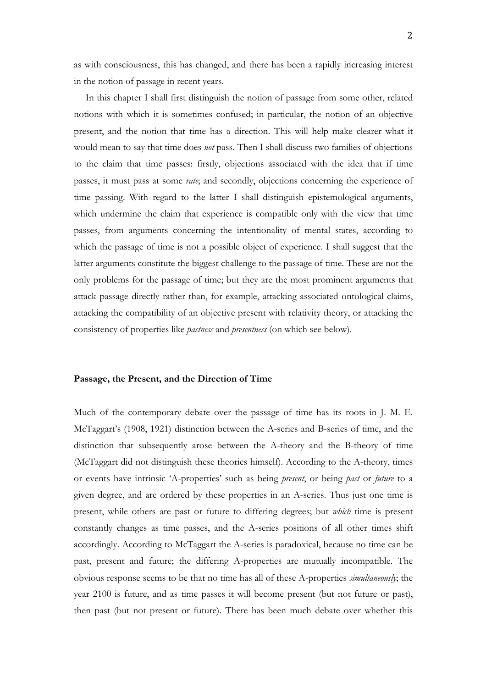as with consciousness, this has changed, and there has been a rapidly increasing interest in the notion of passage in recent years.

In this chapter I shall first distinguish the notion of passage from some other, related notions with which it is sometimes confused; in particular, the notion of an objective present, and the notion that time has a direction. This will help make clearer what it would mean to say that time does *not* pass. Then I shall discuss two families of objections to the claim that time passes: firstly, objections associated with the idea that if time passes, it must pass at some *rate*; and secondly, objections concerning the experience of time passing. With regard to the latter I shall distinguish epistemological arguments, which undermine the claim that experience is compatible only with the view that time passes, from arguments concerning the intentionality of mental states, according to which the passage of time is not a possible object of experience. I shall suggest that the latter arguments constitute the biggest challenge to the passage of time. These are not the only problems for the passage of time; but they are the most prominent arguments that attack passage directly rather than, for example, attacking associated ontological claims, attacking the compatibility of an objective present with relativity theory, or attacking the consistency of properties like *pastness* and *presentness* (on which see below).

# **Passage, the Present, and the Direction of Time**

Much of the contemporary debate over the passage of time has its roots in J. M. E. McTaggart's (1908, 1921) distinction between the A-series and B-series of time, and the distinction that subsequently arose between the A-theory and the B-theory of time (McTaggart did not distinguish these theories himself). According to the A-theory, times or events have intrinsic 'A-properties' such as being *present*, or being *past* or *future* to a given degree, and are ordered by these properties in an A-series. Thus just one time is present, while others are past or future to differing degrees; but *which* time is present constantly changes as time passes, and the A-series positions of all other times shift accordingly. According to McTaggart the A-series is paradoxical, because no time can be past, present and future; the differing A-properties are mutually incompatible. The obvious response seems to be that no time has all of these A-properties *simultaneously*; the year 2100 is future, and as time passes it will become present (but not future or past), then past (but not present or future). There has been much debate over whether this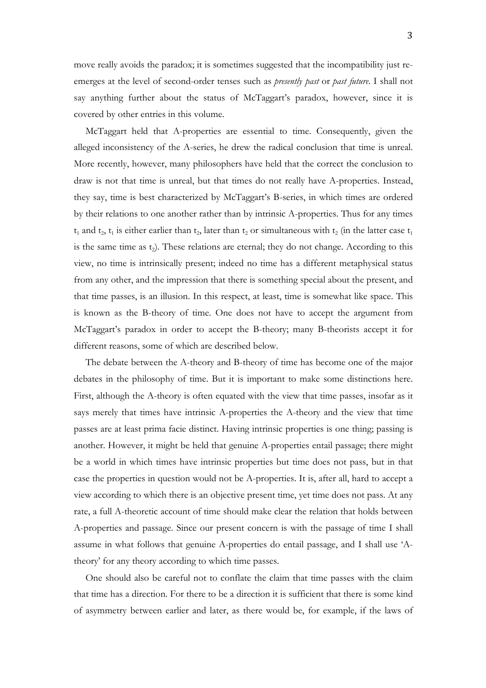move really avoids the paradox; it is sometimes suggested that the incompatibility just reemerges at the level of second-order tenses such as *presently past* or *past future*. I shall not say anything further about the status of McTaggart's paradox, however, since it is covered by other entries in this volume.

McTaggart held that A-properties are essential to time. Consequently, given the alleged inconsistency of the A-series, he drew the radical conclusion that time is unreal. More recently, however, many philosophers have held that the correct the conclusion to draw is not that time is unreal, but that times do not really have A-properties. Instead, they say, time is best characterized by McTaggart's B-series, in which times are ordered by their relations to one another rather than by intrinsic A-properties. Thus for any times  $t_1$  and  $t_2$ ,  $t_1$  is either earlier than  $t_2$ , later than  $t_2$  or simultaneous with  $t_2$  (in the latter case  $t_1$ is the same time as  $t<sub>2</sub>$ ). These relations are eternal; they do not change. According to this view, no time is intrinsically present; indeed no time has a different metaphysical status from any other, and the impression that there is something special about the present, and that time passes, is an illusion. In this respect, at least, time is somewhat like space. This is known as the B-theory of time. One does not have to accept the argument from McTaggart's paradox in order to accept the B-theory; many B-theorists accept it for different reasons, some of which are described below.

The debate between the A-theory and B-theory of time has become one of the major debates in the philosophy of time. But it is important to make some distinctions here. First, although the A-theory is often equated with the view that time passes, insofar as it says merely that times have intrinsic A-properties the A-theory and the view that time passes are at least prima facie distinct. Having intrinsic properties is one thing; passing is another. However, it might be held that genuine A-properties entail passage; there might be a world in which times have intrinsic properties but time does not pass, but in that case the properties in question would not be A-properties. It is, after all, hard to accept a view according to which there is an objective present time, yet time does not pass. At any rate, a full A-theoretic account of time should make clear the relation that holds between A-properties and passage. Since our present concern is with the passage of time I shall assume in what follows that genuine A-properties do entail passage, and I shall use 'Atheory' for any theory according to which time passes.

One should also be careful not to conflate the claim that time passes with the claim that time has a direction. For there to be a direction it is sufficient that there is some kind of asymmetry between earlier and later, as there would be, for example, if the laws of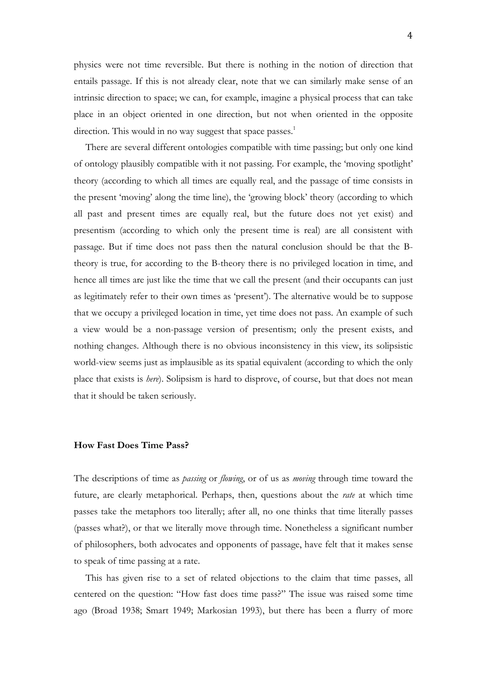physics were not time reversible. But there is nothing in the notion of direction that entails passage. If this is not already clear, note that we can similarly make sense of an intrinsic direction to space; we can, for example, imagine a physical process that can take place in an object oriented in one direction, but not when oriented in the opposite direction. This would in no way suggest that space passes.<sup>1</sup>

There are several different ontologies compatible with time passing; but only one kind of ontology plausibly compatible with it not passing. For example, the 'moving spotlight' theory (according to which all times are equally real, and the passage of time consists in the present 'moving' along the time line), the 'growing block' theory (according to which all past and present times are equally real, but the future does not yet exist) and presentism (according to which only the present time is real) are all consistent with passage. But if time does not pass then the natural conclusion should be that the Btheory is true, for according to the B-theory there is no privileged location in time, and hence all times are just like the time that we call the present (and their occupants can just as legitimately refer to their own times as 'present'). The alternative would be to suppose that we occupy a privileged location in time, yet time does not pass. An example of such a view would be a non-passage version of presentism; only the present exists, and nothing changes. Although there is no obvious inconsistency in this view, its solipsistic world-view seems just as implausible as its spatial equivalent (according to which the only place that exists is *here*). Solipsism is hard to disprove, of course, but that does not mean that it should be taken seriously.

## **How Fast Does Time Pass?**

The descriptions of time as *passing* or *flowing*, or of us as *moving* through time toward the future, are clearly metaphorical. Perhaps, then, questions about the *rate* at which time passes take the metaphors too literally; after all, no one thinks that time literally passes (passes what?), or that we literally move through time. Nonetheless a significant number of philosophers, both advocates and opponents of passage, have felt that it makes sense to speak of time passing at a rate.

This has given rise to a set of related objections to the claim that time passes, all centered on the question: "How fast does time pass?" The issue was raised some time ago (Broad 1938; Smart 1949; Markosian 1993), but there has been a flurry of more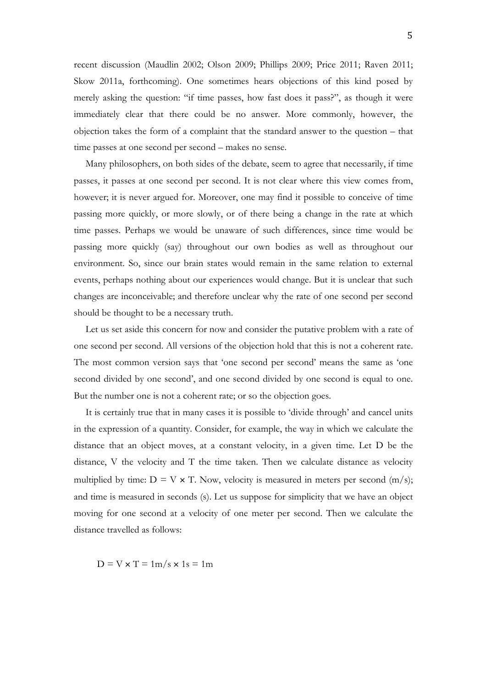recent discussion (Maudlin 2002; Olson 2009; Phillips 2009; Price 2011; Raven 2011; Skow 2011a, forthcoming). One sometimes hears objections of this kind posed by merely asking the question: "if time passes, how fast does it pass?", as though it were immediately clear that there could be no answer. More commonly, however, the objection takes the form of a complaint that the standard answer to the question – that time passes at one second per second – makes no sense.

Many philosophers, on both sides of the debate, seem to agree that necessarily, if time passes, it passes at one second per second. It is not clear where this view comes from, however; it is never argued for. Moreover, one may find it possible to conceive of time passing more quickly, or more slowly, or of there being a change in the rate at which time passes. Perhaps we would be unaware of such differences, since time would be passing more quickly (say) throughout our own bodies as well as throughout our environment. So, since our brain states would remain in the same relation to external events, perhaps nothing about our experiences would change. But it is unclear that such changes are inconceivable; and therefore unclear why the rate of one second per second should be thought to be a necessary truth.

Let us set aside this concern for now and consider the putative problem with a rate of one second per second. All versions of the objection hold that this is not a coherent rate. The most common version says that 'one second per second' means the same as 'one second divided by one second', and one second divided by one second is equal to one. But the number one is not a coherent rate; or so the objection goes.

It is certainly true that in many cases it is possible to 'divide through' and cancel units in the expression of a quantity. Consider, for example, the way in which we calculate the distance that an object moves, at a constant velocity, in a given time. Let D be the distance, V the velocity and T the time taken. Then we calculate distance as velocity multiplied by time:  $D = V \times T$ . Now, velocity is measured in meters per second (m/s); and time is measured in seconds (s). Let us suppose for simplicity that we have an object moving for one second at a velocity of one meter per second. Then we calculate the distance travelled as follows:

 $D = V \times T = 1m/s \times 1s = 1m$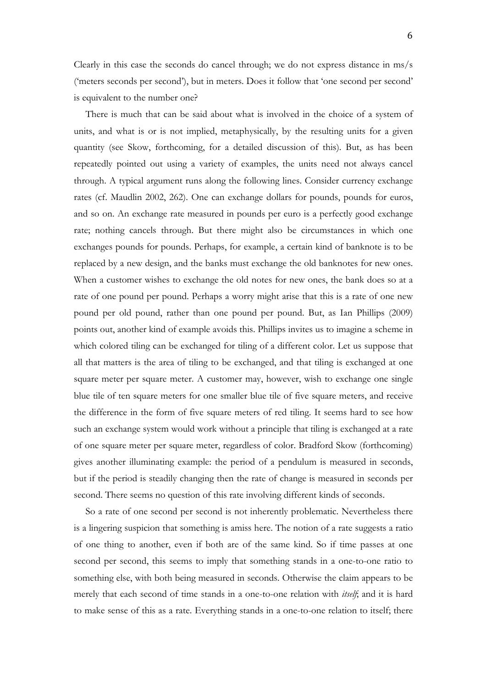Clearly in this case the seconds do cancel through; we do not express distance in ms/s ('meters seconds per second'), but in meters. Does it follow that 'one second per second' is equivalent to the number one?

There is much that can be said about what is involved in the choice of a system of units, and what is or is not implied, metaphysically, by the resulting units for a given quantity (see Skow, forthcoming, for a detailed discussion of this). But, as has been repeatedly pointed out using a variety of examples, the units need not always cancel through. A typical argument runs along the following lines. Consider currency exchange rates (cf. Maudlin 2002, 262). One can exchange dollars for pounds, pounds for euros, and so on. An exchange rate measured in pounds per euro is a perfectly good exchange rate; nothing cancels through. But there might also be circumstances in which one exchanges pounds for pounds. Perhaps, for example, a certain kind of banknote is to be replaced by a new design, and the banks must exchange the old banknotes for new ones. When a customer wishes to exchange the old notes for new ones, the bank does so at a rate of one pound per pound. Perhaps a worry might arise that this is a rate of one new pound per old pound, rather than one pound per pound. But, as Ian Phillips (2009) points out, another kind of example avoids this. Phillips invites us to imagine a scheme in which colored tiling can be exchanged for tiling of a different color. Let us suppose that all that matters is the area of tiling to be exchanged, and that tiling is exchanged at one square meter per square meter. A customer may, however, wish to exchange one single blue tile of ten square meters for one smaller blue tile of five square meters, and receive the difference in the form of five square meters of red tiling. It seems hard to see how such an exchange system would work without a principle that tiling is exchanged at a rate of one square meter per square meter, regardless of color. Bradford Skow (forthcoming) gives another illuminating example: the period of a pendulum is measured in seconds, but if the period is steadily changing then the rate of change is measured in seconds per second. There seems no question of this rate involving different kinds of seconds.

So a rate of one second per second is not inherently problematic. Nevertheless there is a lingering suspicion that something is amiss here. The notion of a rate suggests a ratio of one thing to another, even if both are of the same kind. So if time passes at one second per second, this seems to imply that something stands in a one-to-one ratio to something else, with both being measured in seconds. Otherwise the claim appears to be merely that each second of time stands in a one-to-one relation with *itself*; and it is hard to make sense of this as a rate. Everything stands in a one-to-one relation to itself; there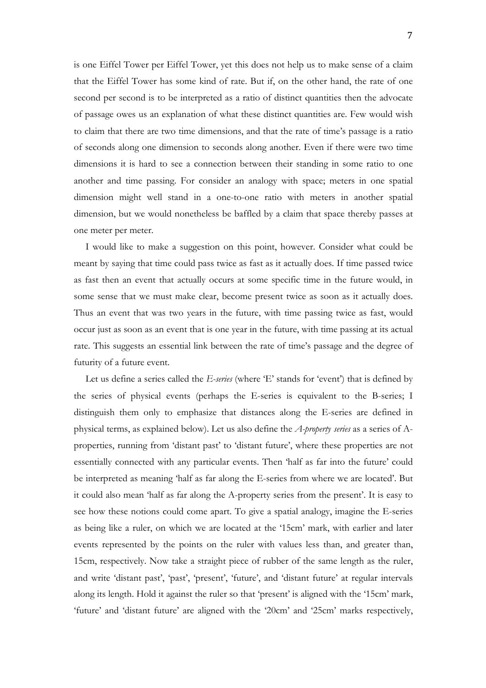is one Eiffel Tower per Eiffel Tower, yet this does not help us to make sense of a claim that the Eiffel Tower has some kind of rate. But if, on the other hand, the rate of one second per second is to be interpreted as a ratio of distinct quantities then the advocate of passage owes us an explanation of what these distinct quantities are. Few would wish to claim that there are two time dimensions, and that the rate of time's passage is a ratio of seconds along one dimension to seconds along another. Even if there were two time dimensions it is hard to see a connection between their standing in some ratio to one another and time passing. For consider an analogy with space; meters in one spatial dimension might well stand in a one-to-one ratio with meters in another spatial dimension, but we would nonetheless be baffled by a claim that space thereby passes at one meter per meter.

I would like to make a suggestion on this point, however. Consider what could be meant by saying that time could pass twice as fast as it actually does. If time passed twice as fast then an event that actually occurs at some specific time in the future would, in some sense that we must make clear, become present twice as soon as it actually does. Thus an event that was two years in the future, with time passing twice as fast, would occur just as soon as an event that is one year in the future, with time passing at its actual rate. This suggests an essential link between the rate of time's passage and the degree of futurity of a future event.

Let us define a series called the *E-series* (where 'E' stands for 'event') that is defined by the series of physical events (perhaps the E-series is equivalent to the B-series; I distinguish them only to emphasize that distances along the E-series are defined in physical terms, as explained below). Let us also define the *A-property series* as a series of Aproperties, running from 'distant past' to 'distant future', where these properties are not essentially connected with any particular events. Then 'half as far into the future' could be interpreted as meaning 'half as far along the E-series from where we are located'. But it could also mean 'half as far along the A-property series from the present'. It is easy to see how these notions could come apart. To give a spatial analogy, imagine the E-series as being like a ruler, on which we are located at the '15cm' mark, with earlier and later events represented by the points on the ruler with values less than, and greater than, 15cm, respectively. Now take a straight piece of rubber of the same length as the ruler, and write 'distant past', 'past', 'present', 'future', and 'distant future' at regular intervals along its length. Hold it against the ruler so that 'present' is aligned with the '15cm' mark, 'future' and 'distant future' are aligned with the '20cm' and '25cm' marks respectively,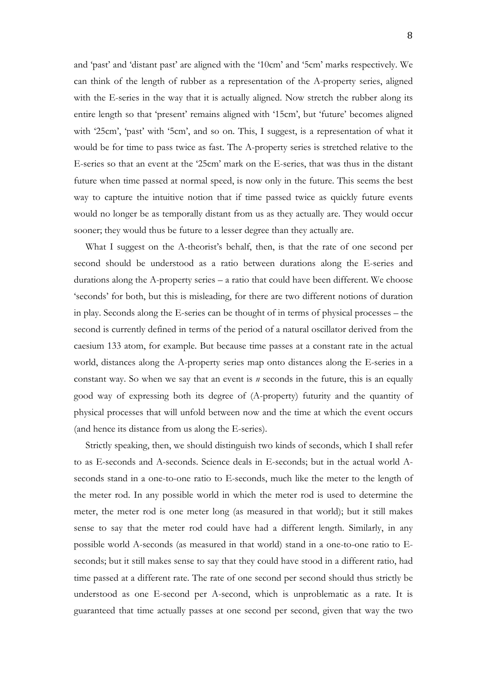and 'past' and 'distant past' are aligned with the '10cm' and '5cm' marks respectively. We can think of the length of rubber as a representation of the A-property series, aligned with the E-series in the way that it is actually aligned. Now stretch the rubber along its entire length so that 'present' remains aligned with '15cm', but 'future' becomes aligned with '25cm', 'past' with '5cm', and so on. This, I suggest, is a representation of what it would be for time to pass twice as fast. The A-property series is stretched relative to the E-series so that an event at the '25cm' mark on the E-series, that was thus in the distant future when time passed at normal speed, is now only in the future. This seems the best way to capture the intuitive notion that if time passed twice as quickly future events would no longer be as temporally distant from us as they actually are. They would occur sooner; they would thus be future to a lesser degree than they actually are.

What I suggest on the A-theorist's behalf, then, is that the rate of one second per second should be understood as a ratio between durations along the E-series and durations along the A-property series – a ratio that could have been different. We choose 'seconds' for both, but this is misleading, for there are two different notions of duration in play. Seconds along the E-series can be thought of in terms of physical processes – the second is currently defined in terms of the period of a natural oscillator derived from the caesium 133 atom, for example. But because time passes at a constant rate in the actual world, distances along the A-property series map onto distances along the E-series in a constant way. So when we say that an event is *n* seconds in the future, this is an equally good way of expressing both its degree of (A-property) futurity and the quantity of physical processes that will unfold between now and the time at which the event occurs (and hence its distance from us along the E-series).

Strictly speaking, then, we should distinguish two kinds of seconds, which I shall refer to as E-seconds and A-seconds. Science deals in E-seconds; but in the actual world Aseconds stand in a one-to-one ratio to E-seconds, much like the meter to the length of the meter rod. In any possible world in which the meter rod is used to determine the meter, the meter rod is one meter long (as measured in that world); but it still makes sense to say that the meter rod could have had a different length. Similarly, in any possible world A-seconds (as measured in that world) stand in a one-to-one ratio to Eseconds; but it still makes sense to say that they could have stood in a different ratio, had time passed at a different rate. The rate of one second per second should thus strictly be understood as one E-second per A-second, which is unproblematic as a rate. It is guaranteed that time actually passes at one second per second, given that way the two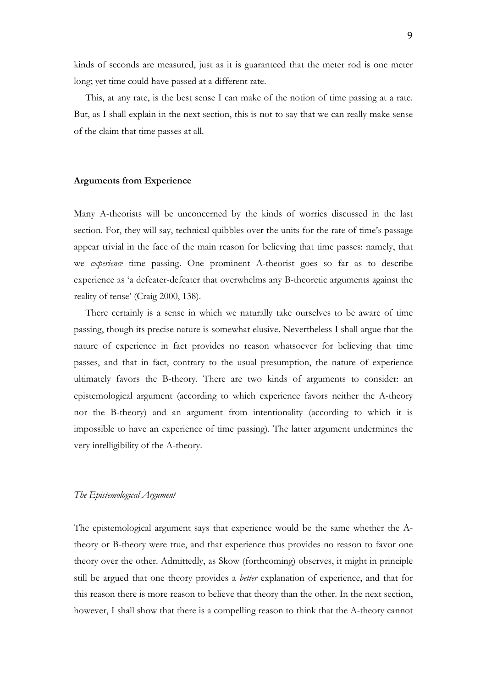kinds of seconds are measured, just as it is guaranteed that the meter rod is one meter long; yet time could have passed at a different rate.

This, at any rate, is the best sense I can make of the notion of time passing at a rate. But, as I shall explain in the next section, this is not to say that we can really make sense of the claim that time passes at all.

#### **Arguments from Experience**

Many A-theorists will be unconcerned by the kinds of worries discussed in the last section. For, they will say, technical quibbles over the units for the rate of time's passage appear trivial in the face of the main reason for believing that time passes: namely, that we *experience* time passing. One prominent A-theorist goes so far as to describe experience as 'a defeater-defeater that overwhelms any B-theoretic arguments against the reality of tense' (Craig 2000, 138).

There certainly is a sense in which we naturally take ourselves to be aware of time passing, though its precise nature is somewhat elusive. Nevertheless I shall argue that the nature of experience in fact provides no reason whatsoever for believing that time passes, and that in fact, contrary to the usual presumption, the nature of experience ultimately favors the B-theory. There are two kinds of arguments to consider: an epistemological argument (according to which experience favors neither the A-theory nor the B-theory) and an argument from intentionality (according to which it is impossible to have an experience of time passing). The latter argument undermines the very intelligibility of the A-theory.

#### *The Epistemological Argument*

The epistemological argument says that experience would be the same whether the Atheory or B-theory were true, and that experience thus provides no reason to favor one theory over the other. Admittedly, as Skow (forthcoming) observes, it might in principle still be argued that one theory provides a *better* explanation of experience, and that for this reason there is more reason to believe that theory than the other. In the next section, however, I shall show that there is a compelling reason to think that the A-theory cannot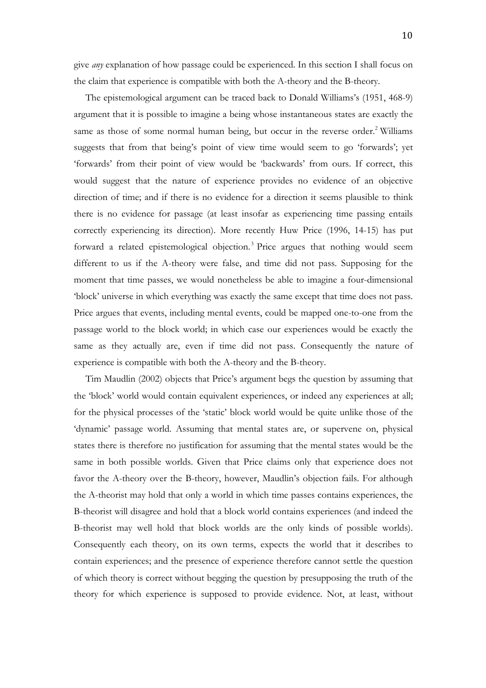give *any* explanation of how passage could be experienced. In this section I shall focus on the claim that experience is compatible with both the A-theory and the B-theory.

The epistemological argument can be traced back to Donald Williams's (1951, 468-9) argument that it is possible to imagine a being whose instantaneous states are exactly the same as those of some normal human being, but occur in the reverse order.<sup>2</sup> Williams suggests that from that being's point of view time would seem to go 'forwards'; yet 'forwards' from their point of view would be 'backwards' from ours. If correct, this would suggest that the nature of experience provides no evidence of an objective direction of time; and if there is no evidence for a direction it seems plausible to think there is no evidence for passage (at least insofar as experiencing time passing entails correctly experiencing its direction). More recently Huw Price (1996, 14-15) has put forward a related epistemological objection.<sup>3</sup> Price argues that nothing would seem different to us if the A-theory were false, and time did not pass. Supposing for the moment that time passes, we would nonetheless be able to imagine a four-dimensional 'block' universe in which everything was exactly the same except that time does not pass. Price argues that events, including mental events, could be mapped one-to-one from the passage world to the block world; in which case our experiences would be exactly the same as they actually are, even if time did not pass. Consequently the nature of experience is compatible with both the A-theory and the B-theory.

Tim Maudlin (2002) objects that Price's argument begs the question by assuming that the 'block' world would contain equivalent experiences, or indeed any experiences at all; for the physical processes of the 'static' block world would be quite unlike those of the 'dynamic' passage world. Assuming that mental states are, or supervene on, physical states there is therefore no justification for assuming that the mental states would be the same in both possible worlds. Given that Price claims only that experience does not favor the A-theory over the B-theory, however, Maudlin's objection fails. For although the A-theorist may hold that only a world in which time passes contains experiences, the B-theorist will disagree and hold that a block world contains experiences (and indeed the B-theorist may well hold that block worlds are the only kinds of possible worlds). Consequently each theory, on its own terms, expects the world that it describes to contain experiences; and the presence of experience therefore cannot settle the question of which theory is correct without begging the question by presupposing the truth of the theory for which experience is supposed to provide evidence. Not, at least, without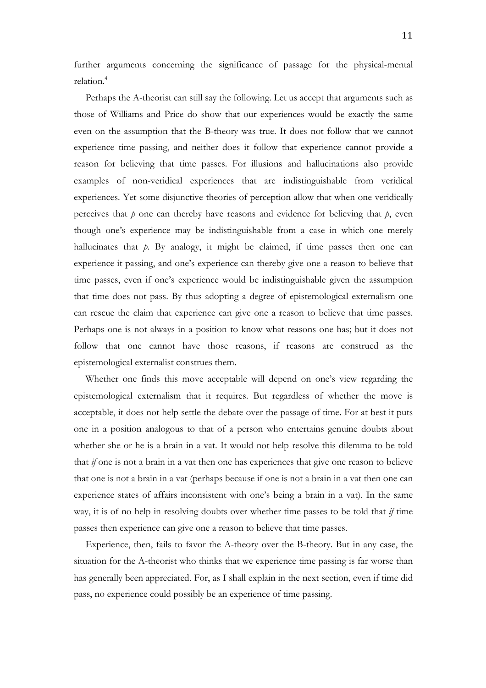further arguments concerning the significance of passage for the physical-mental relation. 4

Perhaps the A-theorist can still say the following. Let us accept that arguments such as those of Williams and Price do show that our experiences would be exactly the same even on the assumption that the B-theory was true. It does not follow that we cannot experience time passing, and neither does it follow that experience cannot provide a reason for believing that time passes. For illusions and hallucinations also provide examples of non-veridical experiences that are indistinguishable from veridical experiences. Yet some disjunctive theories of perception allow that when one veridically perceives that *p* one can thereby have reasons and evidence for believing that *p*, even though one's experience may be indistinguishable from a case in which one merely hallucinates that *p*. By analogy, it might be claimed, if time passes then one can experience it passing, and one's experience can thereby give one a reason to believe that time passes, even if one's experience would be indistinguishable given the assumption that time does not pass. By thus adopting a degree of epistemological externalism one can rescue the claim that experience can give one a reason to believe that time passes. Perhaps one is not always in a position to know what reasons one has; but it does not follow that one cannot have those reasons, if reasons are construed as the epistemological externalist construes them.

Whether one finds this move acceptable will depend on one's view regarding the epistemological externalism that it requires. But regardless of whether the move is acceptable, it does not help settle the debate over the passage of time. For at best it puts one in a position analogous to that of a person who entertains genuine doubts about whether she or he is a brain in a vat. It would not help resolve this dilemma to be told that *if* one is not a brain in a vat then one has experiences that give one reason to believe that one is not a brain in a vat (perhaps because if one is not a brain in a vat then one can experience states of affairs inconsistent with one's being a brain in a vat). In the same way, it is of no help in resolving doubts over whether time passes to be told that *if* time passes then experience can give one a reason to believe that time passes.

Experience, then, fails to favor the A-theory over the B-theory. But in any case, the situation for the A-theorist who thinks that we experience time passing is far worse than has generally been appreciated. For, as I shall explain in the next section, even if time did pass, no experience could possibly be an experience of time passing.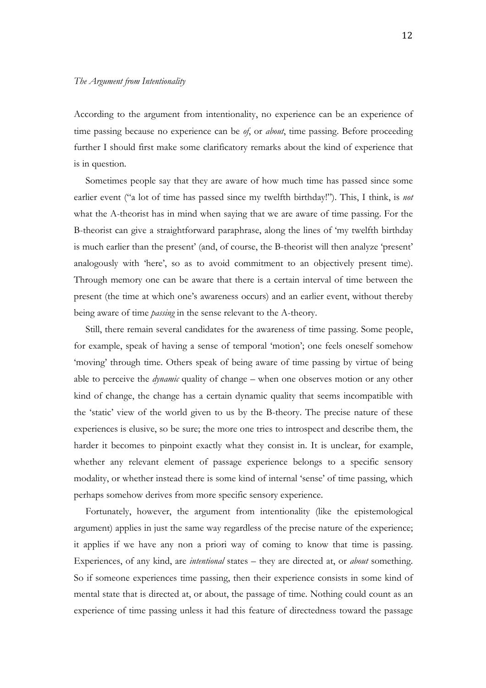According to the argument from intentionality, no experience can be an experience of time passing because no experience can be *of*, or *about*, time passing. Before proceeding further I should first make some clarificatory remarks about the kind of experience that is in question.

Sometimes people say that they are aware of how much time has passed since some earlier event ("a lot of time has passed since my twelfth birthday!"). This, I think, is *not* what the A-theorist has in mind when saying that we are aware of time passing. For the B-theorist can give a straightforward paraphrase, along the lines of 'my twelfth birthday is much earlier than the present' (and, of course, the B-theorist will then analyze 'present' analogously with 'here', so as to avoid commitment to an objectively present time). Through memory one can be aware that there is a certain interval of time between the present (the time at which one's awareness occurs) and an earlier event, without thereby being aware of time *passing* in the sense relevant to the A-theory.

Still, there remain several candidates for the awareness of time passing. Some people, for example, speak of having a sense of temporal 'motion'; one feels oneself somehow 'moving' through time. Others speak of being aware of time passing by virtue of being able to perceive the *dynamic* quality of change – when one observes motion or any other kind of change, the change has a certain dynamic quality that seems incompatible with the 'static' view of the world given to us by the B-theory. The precise nature of these experiences is elusive, so be sure; the more one tries to introspect and describe them, the harder it becomes to pinpoint exactly what they consist in. It is unclear, for example, whether any relevant element of passage experience belongs to a specific sensory modality, or whether instead there is some kind of internal 'sense' of time passing, which perhaps somehow derives from more specific sensory experience.

Fortunately, however, the argument from intentionality (like the epistemological argument) applies in just the same way regardless of the precise nature of the experience; it applies if we have any non a priori way of coming to know that time is passing. Experiences, of any kind, are *intentional* states – they are directed at, or *about* something. So if someone experiences time passing, then their experience consists in some kind of mental state that is directed at, or about, the passage of time. Nothing could count as an experience of time passing unless it had this feature of directedness toward the passage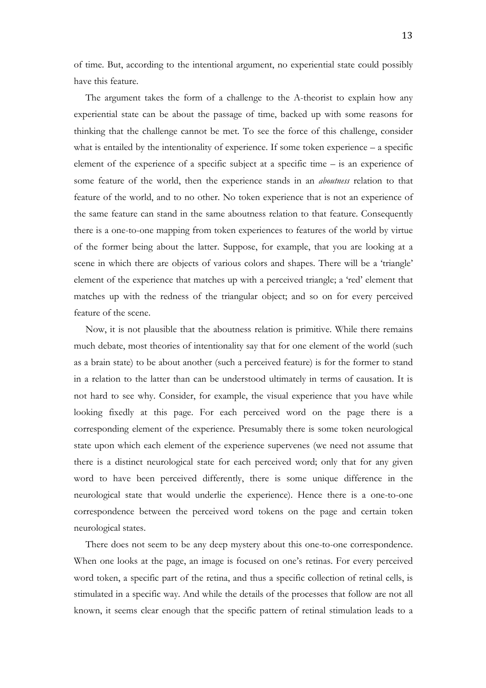of time. But, according to the intentional argument, no experiential state could possibly have this feature.

The argument takes the form of a challenge to the A-theorist to explain how any experiential state can be about the passage of time, backed up with some reasons for thinking that the challenge cannot be met. To see the force of this challenge, consider what is entailed by the intentionality of experience. If some token experience – a specific element of the experience of a specific subject at a specific time – is an experience of some feature of the world, then the experience stands in an *aboutness* relation to that feature of the world, and to no other. No token experience that is not an experience of the same feature can stand in the same aboutness relation to that feature. Consequently there is a one-to-one mapping from token experiences to features of the world by virtue of the former being about the latter. Suppose, for example, that you are looking at a scene in which there are objects of various colors and shapes. There will be a 'triangle' element of the experience that matches up with a perceived triangle; a 'red' element that matches up with the redness of the triangular object; and so on for every perceived feature of the scene.

Now, it is not plausible that the aboutness relation is primitive. While there remains much debate, most theories of intentionality say that for one element of the world (such as a brain state) to be about another (such a perceived feature) is for the former to stand in a relation to the latter than can be understood ultimately in terms of causation. It is not hard to see why. Consider, for example, the visual experience that you have while looking fixedly at this page. For each perceived word on the page there is a corresponding element of the experience. Presumably there is some token neurological state upon which each element of the experience supervenes (we need not assume that there is a distinct neurological state for each perceived word; only that for any given word to have been perceived differently, there is some unique difference in the neurological state that would underlie the experience). Hence there is a one-to-one correspondence between the perceived word tokens on the page and certain token neurological states.

There does not seem to be any deep mystery about this one-to-one correspondence. When one looks at the page, an image is focused on one's retinas. For every perceived word token, a specific part of the retina, and thus a specific collection of retinal cells, is stimulated in a specific way. And while the details of the processes that follow are not all known, it seems clear enough that the specific pattern of retinal stimulation leads to a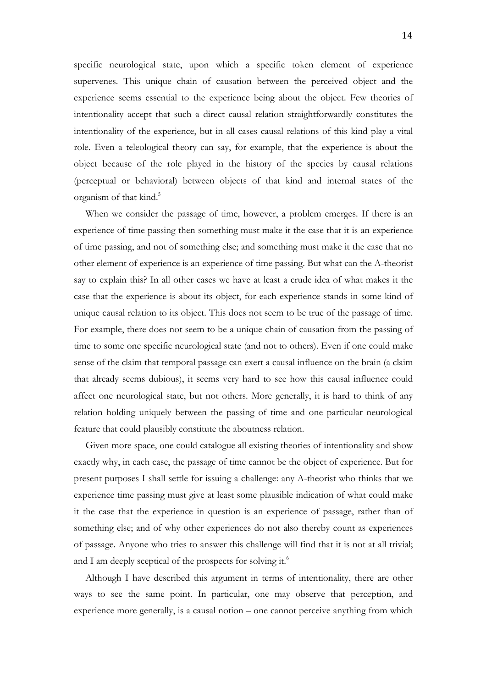specific neurological state, upon which a specific token element of experience supervenes. This unique chain of causation between the perceived object and the experience seems essential to the experience being about the object. Few theories of intentionality accept that such a direct causal relation straightforwardly constitutes the intentionality of the experience, but in all cases causal relations of this kind play a vital role. Even a teleological theory can say, for example, that the experience is about the object because of the role played in the history of the species by causal relations (perceptual or behavioral) between objects of that kind and internal states of the organism of that kind.<sup>5</sup>

When we consider the passage of time, however, a problem emerges. If there is an experience of time passing then something must make it the case that it is an experience of time passing, and not of something else; and something must make it the case that no other element of experience is an experience of time passing. But what can the A-theorist say to explain this? In all other cases we have at least a crude idea of what makes it the case that the experience is about its object, for each experience stands in some kind of unique causal relation to its object. This does not seem to be true of the passage of time. For example, there does not seem to be a unique chain of causation from the passing of time to some one specific neurological state (and not to others). Even if one could make sense of the claim that temporal passage can exert a causal influence on the brain (a claim that already seems dubious), it seems very hard to see how this causal influence could affect one neurological state, but not others. More generally, it is hard to think of any relation holding uniquely between the passing of time and one particular neurological feature that could plausibly constitute the aboutness relation.

Given more space, one could catalogue all existing theories of intentionality and show exactly why, in each case, the passage of time cannot be the object of experience. But for present purposes I shall settle for issuing a challenge: any A-theorist who thinks that we experience time passing must give at least some plausible indication of what could make it the case that the experience in question is an experience of passage, rather than of something else; and of why other experiences do not also thereby count as experiences of passage. Anyone who tries to answer this challenge will find that it is not at all trivial; and I am deeply sceptical of the prospects for solving it.<sup>6</sup>

Although I have described this argument in terms of intentionality, there are other ways to see the same point. In particular, one may observe that perception, and experience more generally, is a causal notion – one cannot perceive anything from which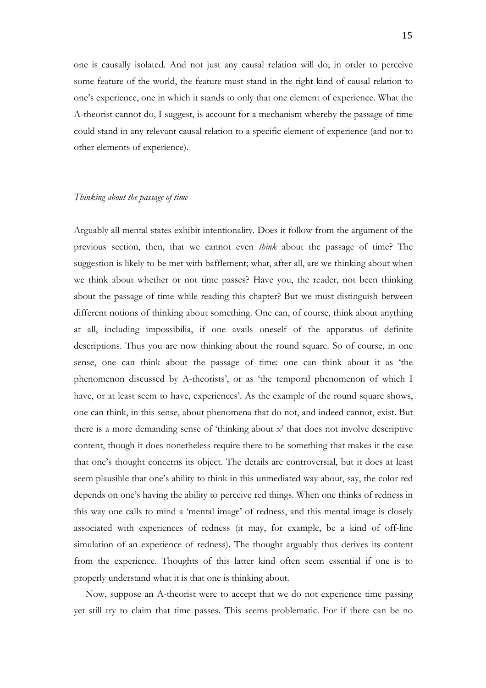one is causally isolated. And not just any causal relation will do; in order to perceive some feature of the world, the feature must stand in the right kind of causal relation to one's experience, one in which it stands to only that one element of experience. What the A-theorist cannot do, I suggest, is account for a mechanism whereby the passage of time could stand in any relevant causal relation to a specific element of experience (and not to other elements of experience).

## *Thinking about the passage of time*

Arguably all mental states exhibit intentionality. Does it follow from the argument of the previous section, then, that we cannot even *think* about the passage of time? The suggestion is likely to be met with bafflement; what, after all, are we thinking about when we think about whether or not time passes? Have you, the reader, not been thinking about the passage of time while reading this chapter? But we must distinguish between different notions of thinking about something. One can, of course, think about anything at all, including impossibilia, if one avails oneself of the apparatus of definite descriptions. Thus you are now thinking about the round square. So of course, in one sense, one can think about the passage of time: one can think about it as 'the phenomenon discussed by A-theorists', or as 'the temporal phenomenon of which I have, or at least seem to have, experiences'. As the example of the round square shows, one can think, in this sense, about phenomena that do not, and indeed cannot, exist. But there is a more demanding sense of 'thinking about  $x'$  that does not involve descriptive content, though it does nonetheless require there to be something that makes it the case that one's thought concerns its object. The details are controversial, but it does at least seem plausible that one's ability to think in this unmediated way about, say, the color red depends on one's having the ability to perceive red things. When one thinks of redness in this way one calls to mind a 'mental image' of redness, and this mental image is closely associated with experiences of redness (it may, for example, be a kind of off-line simulation of an experience of redness). The thought arguably thus derives its content from the experience. Thoughts of this latter kind often seem essential if one is to properly understand what it is that one is thinking about.

Now, suppose an A-theorist were to accept that we do not experience time passing yet still try to claim that time passes. This seems problematic. For if there can be no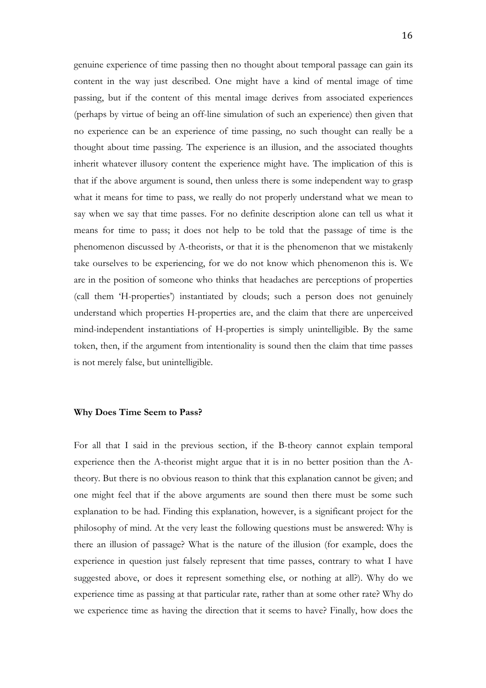genuine experience of time passing then no thought about temporal passage can gain its content in the way just described. One might have a kind of mental image of time passing, but if the content of this mental image derives from associated experiences (perhaps by virtue of being an off-line simulation of such an experience) then given that no experience can be an experience of time passing, no such thought can really be a thought about time passing. The experience is an illusion, and the associated thoughts inherit whatever illusory content the experience might have. The implication of this is that if the above argument is sound, then unless there is some independent way to grasp what it means for time to pass, we really do not properly understand what we mean to say when we say that time passes. For no definite description alone can tell us what it means for time to pass; it does not help to be told that the passage of time is the phenomenon discussed by A-theorists, or that it is the phenomenon that we mistakenly take ourselves to be experiencing, for we do not know which phenomenon this is. We are in the position of someone who thinks that headaches are perceptions of properties (call them 'H-properties') instantiated by clouds; such a person does not genuinely understand which properties H-properties are, and the claim that there are unperceived mind-independent instantiations of H-properties is simply unintelligible. By the same token, then, if the argument from intentionality is sound then the claim that time passes is not merely false, but unintelligible.

#### **Why Does Time Seem to Pass?**

For all that I said in the previous section, if the B-theory cannot explain temporal experience then the A-theorist might argue that it is in no better position than the Atheory. But there is no obvious reason to think that this explanation cannot be given; and one might feel that if the above arguments are sound then there must be some such explanation to be had. Finding this explanation, however, is a significant project for the philosophy of mind. At the very least the following questions must be answered: Why is there an illusion of passage? What is the nature of the illusion (for example, does the experience in question just falsely represent that time passes, contrary to what I have suggested above, or does it represent something else, or nothing at all?). Why do we experience time as passing at that particular rate, rather than at some other rate? Why do we experience time as having the direction that it seems to have? Finally, how does the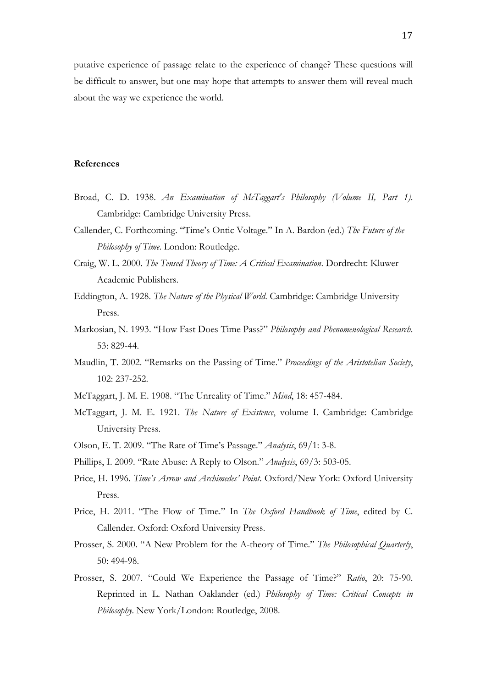putative experience of passage relate to the experience of change? These questions will be difficult to answer, but one may hope that attempts to answer them will reveal much about the way we experience the world.

#### **References**

- Broad, C. D. 1938. *An Examination of McTaggart's Philosophy (Volume II, Part 1)*. Cambridge: Cambridge University Press.
- Callender, C. Forthcoming. "Time's Ontic Voltage." In A. Bardon (ed.) *The Future of the Philosophy of Time*. London: Routledge.
- Craig, W. L. 2000. *The Tensed Theory of Time: A Critical Examination*. Dordrecht: Kluwer Academic Publishers.
- Eddington, A. 1928. *The Nature of the Physical World*. Cambridge: Cambridge University Press.
- Markosian, N. 1993. "How Fast Does Time Pass?" *Philosophy and Phenomenological Research*. 53: 829-44.
- Maudlin, T. 2002. "Remarks on the Passing of Time." *Proceedings of the Aristotelian Society*, 102: 237-252.
- McTaggart, J. M. E. 1908. "The Unreality of Time." *Mind*, 18: 457-484.
- McTaggart, J. M. E. 1921. *The Nature of Existence*, volume I. Cambridge: Cambridge University Press.
- Olson, E. T. 2009. "The Rate of Time's Passage." *Analysis*, 69/1: 3-8.
- Phillips, I. 2009. "Rate Abuse: A Reply to Olson." *Analysis*, 69/3: 503-05.
- Price, H. 1996. *Time's Arrow and Archimedes' Point*. Oxford/New York: Oxford University Press.
- Price, H. 2011. "The Flow of Time." In *The Oxford Handbook of Time*, edited by C. Callender. Oxford: Oxford University Press.
- Prosser, S. 2000. "A New Problem for the A-theory of Time." *The Philosophical Quarterly*, 50: 494-98.
- Prosser, S. 2007. "Could We Experience the Passage of Time?" *Ratio*, 20: 75-90. Reprinted in L. Nathan Oaklander (ed.) *Philosophy of Time: Critical Concepts in Philosophy*. New York/London: Routledge, 2008.